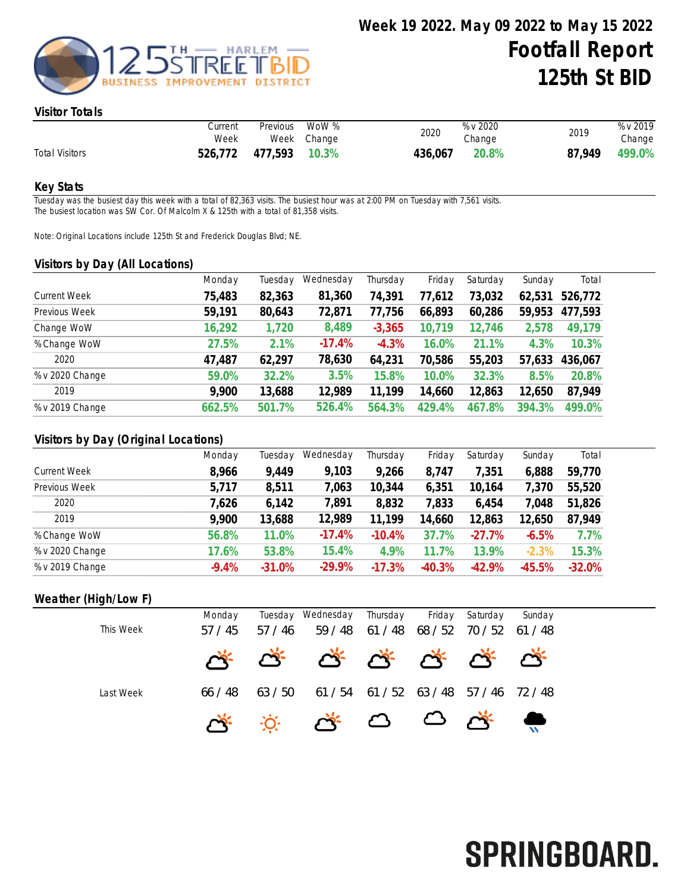

#### Visitor Totals

|                       | Current<br>Week | Previous WoW % | Week Change | 2020    | % v 2020<br>Change | 2019   | % v 2019<br>Change |
|-----------------------|-----------------|----------------|-------------|---------|--------------------|--------|--------------------|
| <b>Total Visitors</b> | 526,772         | 477,593 10.3%  |             | 436,067 | 20.8%              | 87.949 | 499.0%             |

#### Key Stats

Tuesday was the busiest day this week with a total of 82,363 visits. The busiest hour was at 2:00 PM on Tuesday with 7,561 visits. The busiest location was SW Cor. Of Malcolm X & 125th with a total of 81,358 visits.

Note: Original Locations include 125th St and Frederick Douglas Blvd; NE.

#### Visitors by Day (All Locations)

|                     | Monday | Tuesday | Wednesday | Thursday | Friday | Saturday | Sunday | Total   |
|---------------------|--------|---------|-----------|----------|--------|----------|--------|---------|
| <b>Current Week</b> | 75,483 | 82,363  | 81,360    | 74,391   | 77,612 | 73,032   | 62,531 | 526,772 |
| Previous Week       | 59,191 | 80,643  | 72,871    | 77,756   | 66,893 | 60,286   | 59,953 | 477,593 |
| Change WoW          | 16,292 | 1,720   | 8,489     | $-3,365$ | 10,719 | 12,746   | 2,578  | 49,179  |
| % Change WoW        | 27.5%  | 2.1%    | $-17.4%$  | $-4.3%$  | 16.0%  | 21.1%    | 4.3%   | 10.3%   |
| 2020                | 47,487 | 62,297  | 78,630    | 64,231   | 70,586 | 55,203   | 57,633 | 436,067 |
| % v 2020 Change     | 59.0%  | 32.2%   | 3.5%      | 15.8%    | 10.0%  | 32.3%    | 8.5%   | 20.8%   |
| 2019                | 9,900  | 13,688  | 12,989    | 11,199   | 14,660 | 12,863   | 12,650 | 87,949  |
| % v 2019 Change     | 662.5% | 501.7%  | 526.4%    | 564.3%   | 429.4% | 467.8%   | 394.3% | 499.0%  |
|                     |        |         |           |          |        |          |        |         |

## Visitors by Day (Original Locations)

|                     | Monday  | Tuesday  | Wednesday | Thursday | Friday   | Saturday | Sunday   | Total    |
|---------------------|---------|----------|-----------|----------|----------|----------|----------|----------|
| <b>Current Week</b> | 8,966   | 9,449    | 9,103     | 9,266    | 8,747    | 7,351    | 6,888    | 59,770   |
| Previous Week       | 5,717   | 8,511    | 7,063     | 10,344   | 6,351    | 10,164   | 7,370    | 55,520   |
| 2020                | 7,626   | 6,142    | 7,891     | 8,832    | 7,833    | 6,454    | 7,048    | 51,826   |
| 2019                | 9,900   | 13,688   | 12,989    | 11,199   | 14,660   | 12,863   | 12,650   | 87,949   |
| % Change WoW        | 56.8%   | 11.0%    | $-17.4%$  | $-10.4%$ | 37.7%    | $-27.7%$ | $-6.5%$  | 7.7%     |
| % v 2020 Change     | 17.6%   | 53.8%    | 15.4%     | 4.9%     | $.7\%$   | 13.9%    | $-2.3%$  | 15.3%    |
| % v 2019 Change     | $-9.4%$ | $-31.0%$ | $-29.9\%$ | $-17.3%$ | $-40.3%$ | $-42.9%$ | $-45.5%$ | $-32.0%$ |

## Weather (High/Low F)

| This Week | Monday<br>57/45 | 57 / 46 | Tuesday Wednesday Thursday Friday Saturday | 59 / 48 61 / 48 68 / 52 70 / 52 61 / 48 |  | Sunday |
|-----------|-----------------|---------|--------------------------------------------|-----------------------------------------|--|--------|
|           |                 |         | * * * * * * * * *                          |                                         |  |        |
| Last Week | 66 / 48         | 63 / 50 | 61/54 61/52 63/48 57/46 72/48              |                                         |  |        |
|           |                 |         |                                            |                                         |  |        |

# SPRINGBOARD.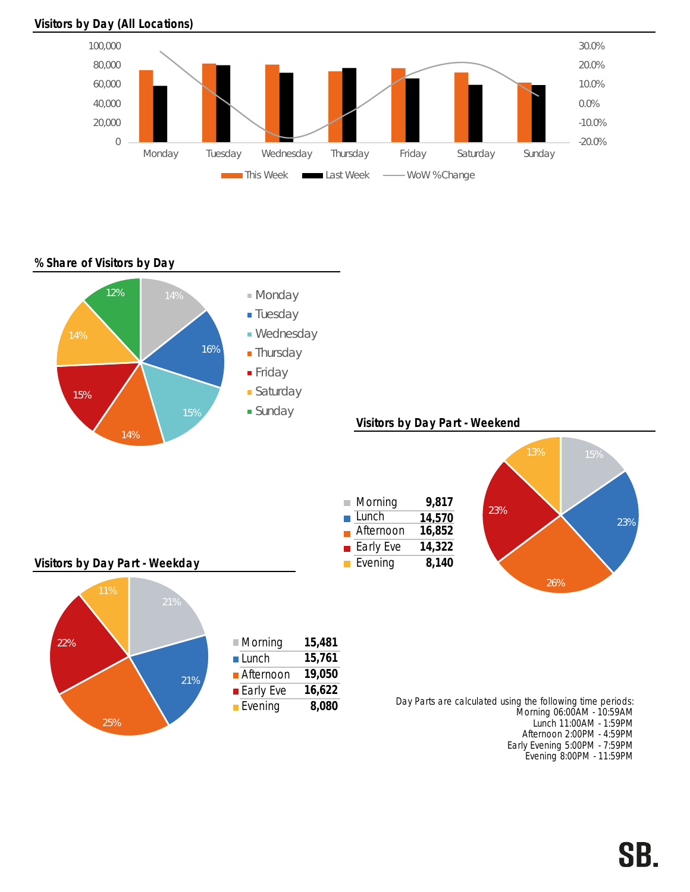## Visitors by Day (All Locations)



% Share of Visitors by Day



Afternoon 2:00PM - 4:59PM Early Evening 5:00PM - 7:59PM Evening 8:00PM - 11:59PM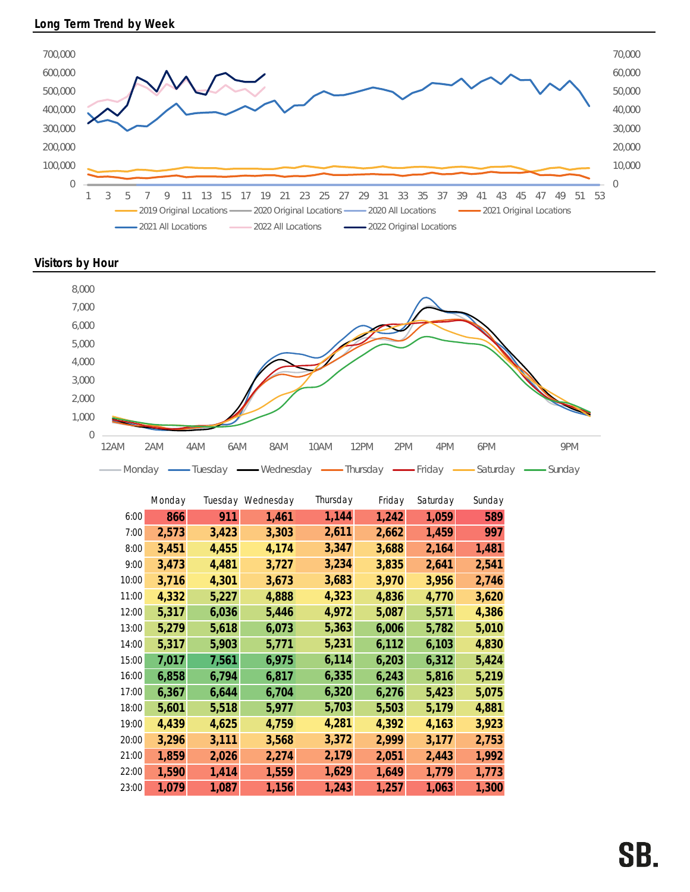

Visitors by Hour



|       | Monday |       | Tuesday Wednesday | Thursday | Friday | Saturday | Sunday |
|-------|--------|-------|-------------------|----------|--------|----------|--------|
| 6:00  | 866    | 911   | 1,461             | 1,144    | 1,242  | 1,059    | 589    |
| 7:00  | 2,573  | 3,423 | 3,303             | 2,611    | 2,662  | 1,459    | 997    |
| 8:00  | 3,451  | 4,455 | 4,174             | 3,347    | 3,688  | 2,164    | 1,481  |
| 9:00  | 3,473  | 4,481 | 3,727             | 3,234    | 3,835  | 2,641    | 2,541  |
| 10:00 | 3,716  | 4,301 | 3,673             | 3,683    | 3,970  | 3,956    | 2,746  |
| 11:00 | 4,332  | 5,227 | 4,888             | 4,323    | 4,836  | 4,770    | 3,620  |
| 12:00 | 5,317  | 6,036 | 5,446             | 4,972    | 5,087  | 5,571    | 4,386  |
| 13:00 | 5,279  | 5,618 | 6,073             | 5,363    | 6,006  | 5,782    | 5,010  |
| 14:00 | 5,317  | 5,903 | 5,771             | 5,231    | 6,112  | 6,103    | 4,830  |
| 15:00 | 7,017  | 7,561 | 6,975             | 6,114    | 6,203  | 6,312    | 5,424  |
| 16:00 | 6,858  | 6,794 | 6,817             | 6,335    | 6,243  | 5,816    | 5,219  |
| 17:00 | 6,367  | 6,644 | 6,704             | 6,320    | 6,276  | 5,423    | 5,075  |
| 18:00 | 5,601  | 5,518 | 5,977             | 5,703    | 5,503  | 5,179    | 4,881  |
| 19:00 | 4,439  | 4,625 | 4,759             | 4,281    | 4,392  | 4,163    | 3,923  |
| 20:00 | 3,296  | 3,111 | 3,568             | 3,372    | 2,999  | 3,177    | 2,753  |
| 21:00 | 1,859  | 2,026 | 2,274             | 2,179    | 2,051  | 2,443    | 1,992  |
| 22:00 | 1,590  | 1,414 | 1,559             | 1,629    | 1,649  | 1,779    | 1,773  |
| 23:00 | 1,079  | 1,087 | 1,156             | 1,243    | 1,257  | 1,063    | 1,300  |